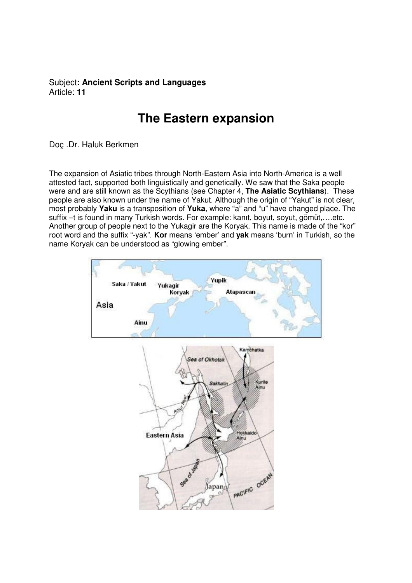Subject**: Ancient Scripts and Languages**  Article: **11**

## **The Eastern expansion**

Doç .Dr. Haluk Berkmen

The expansion of Asiatic tribes through North-Eastern Asia into North-America is a well attested fact, supported both linguistically and genetically. We saw that the Saka people were and are still known as the Scythians (see Chapter 4, **The Asiatic Scythians**). These people are also known under the name of Yakut. Although the origin of "Yakut" is not clear, most probably **Yaku** is a transposition of **Yuka**, where "a" and "u" have changed place. The suffix –t is found in many Turkish words. For example: kanıt, boyut, soyut, gömüt,….etc. Another group of people next to the Yukagir are the Koryak. This name is made of the "kor" root word and the suffix "-yak". **Kor** means 'ember' and **yak** means 'burn' in Turkish, so the name Koryak can be understood as "glowing ember".

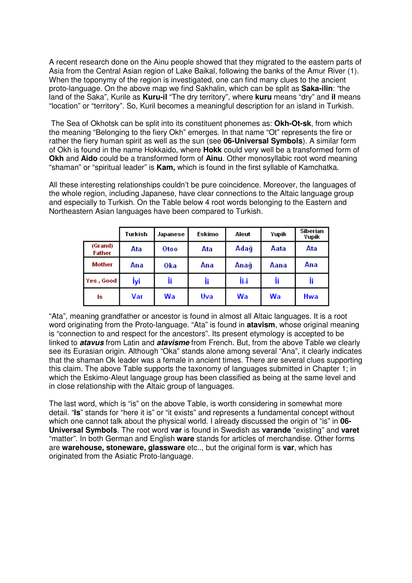A recent research done on the Ainu people showed that they migrated to the eastern parts of Asia from the Central Asian region of Lake Baikal, following the banks of the Amur River (1). When the toponymy of the region is investigated, one can find many clues to the ancient proto-language. On the above map we find Sakhalin, which can be split as **Saka-ilin**: "the land of the Saka", Kurile as **Kuru-il** "The dry territory", where **kuru** means "dry" and **il** means "location" or "territory". So, Kuril becomes a meaningful description for an island in Turkish.

 The Sea of Okhotsk can be split into its constituent phonemes as: **Okh-Ot-sk**, from which the meaning "Belonging to the fiery Okh" emerges. In that name "Ot" represents the fire or rather the fiery human spirit as well as the sun (see **06-Universal Symbols**). A similar form of Okh is found in the name Hokkaido, where **Hokk** could very well be a transformed form of **Okh** and **Aido** could be a transformed form of **Ainu**. Other monosyllabic root word meaning "shaman" or "spiritual leader" is **Kam,** which is found in the first syllable of Kamchatka.

All these interesting relationships couldn't be pure coincidence. Moreover, the languages of the whole region, including Japanese, have clear connections to the Altaic language group and especially to Turkish. On the Table below 4 root words belonging to the Eastern and Northeastern Asian languages have been compared to Turkish.

|                   | Turkish | Japanese | Eskimo | Aleut | Yupik | Siberian<br>Yupik |
|-------------------|---------|----------|--------|-------|-------|-------------------|
| (Grand)<br>Father | Ata     | Oto o    | Ata    | Adağ  | Aata  | Ata               |
| Mother            | Ana     | Oka      | Ana    | Anağ  | Aana  | Ana               |
| Yes, Good         | İyi     | İi       | İi     | İĦ    |       |                   |
| ls                | Var     | Wa       | Uva    | Wa    | Wa    | <b>Hwa</b>        |

"Ata", meaning grandfather or ancestor is found in almost all Altaic languages. It is a root word originating from the Proto-language. "Ata" is found in **atavism**, whose original meaning is "connection to and respect for the ancestors". Its present etymology is accepted to be linked to **atavus** from Latin and **atavisme** from French. But, from the above Table we clearly see its Eurasian origin. Although "Oka" stands alone among several "Ana", it clearly indicates that the shaman Ok leader was a female in ancient times. There are several clues supporting this claim. The above Table supports the taxonomy of languages submitted in Chapter 1; in which the Eskimo-Aleut language group has been classified as being at the same level and in close relationship with the Altaic group of languages.

The last word, which is "is" on the above Table, is worth considering in somewhat more detail. "**Is**" stands for "here it is" or "it exists" and represents a fundamental concept without which one cannot talk about the physical world. I already discussed the origin of "is" in **06- Universal Symbols**. The root word **var** is found in Swedish as **varande** "existing" and **varet** "matter". In both German and English **ware** stands for articles of merchandise. Other forms are **warehouse, stoneware, glassware** etc.., but the original form is **var**, which has originated from the Asiatic Proto-language.